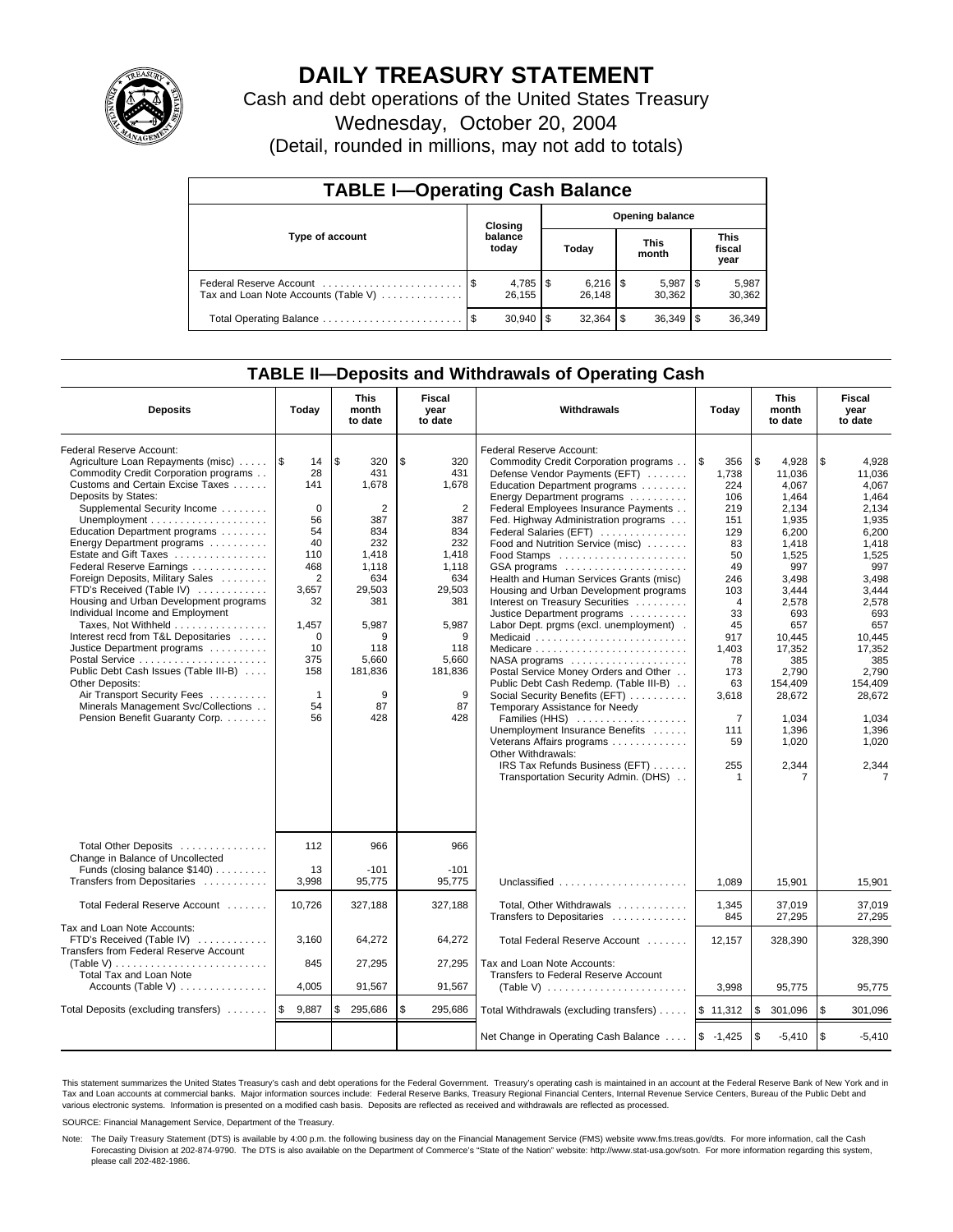

# **DAILY TREASURY STATEMENT**

Cash and debt operations of the United States Treasury

Wednesday, October 20, 2004

(Detail, rounded in millions, may not add to totals)

| <b>TABLE I-Operating Cash Balance</b>                           |         |                  |                        |                         |                      |                 |                               |                 |  |
|-----------------------------------------------------------------|---------|------------------|------------------------|-------------------------|----------------------|-----------------|-------------------------------|-----------------|--|
|                                                                 | Closing |                  | <b>Opening balance</b> |                         |                      |                 |                               |                 |  |
| Type of account                                                 |         | balance<br>today |                        | Today                   | <b>This</b><br>month |                 | <b>This</b><br>fiscal<br>year |                 |  |
| Federal Reserve Account<br>Tax and Loan Note Accounts (Table V) |         | 26.155           |                        | $6,216$ \ $$$<br>26.148 |                      | 5,987<br>30.362 |                               | 5,987<br>30,362 |  |
| Total Operating Balance                                         | - \$    | 30.940           | l S                    | $32,364$ \$             |                      | 36,349          |                               | 36,349          |  |

## **TABLE II—Deposits and Withdrawals of Operating Cash**

| <b>Deposits</b>                                                                                                                                                                                                                                                                                                                                                                                                                                                                                                                                                                                                                                                                                                                                                                                   | Today                                                                                                                                                                    | <b>This</b><br>month<br>to date                                                                                                                                       | <b>Fiscal</b><br>Withdrawals<br>year<br>to date                                                                                                                       |                                                                                                                                                                                                                                                                                                                                                                                                                                                                                                                                                                                                                                                                                                                                                                                                                                                                                                                                                                            | Today                                                                                                                                                                                                       | <b>This</b><br>month<br>to date                                                                                                                                                                                                     | Fiscal<br>year<br>to date                                                                                                                                                                                                                           |
|---------------------------------------------------------------------------------------------------------------------------------------------------------------------------------------------------------------------------------------------------------------------------------------------------------------------------------------------------------------------------------------------------------------------------------------------------------------------------------------------------------------------------------------------------------------------------------------------------------------------------------------------------------------------------------------------------------------------------------------------------------------------------------------------------|--------------------------------------------------------------------------------------------------------------------------------------------------------------------------|-----------------------------------------------------------------------------------------------------------------------------------------------------------------------|-----------------------------------------------------------------------------------------------------------------------------------------------------------------------|----------------------------------------------------------------------------------------------------------------------------------------------------------------------------------------------------------------------------------------------------------------------------------------------------------------------------------------------------------------------------------------------------------------------------------------------------------------------------------------------------------------------------------------------------------------------------------------------------------------------------------------------------------------------------------------------------------------------------------------------------------------------------------------------------------------------------------------------------------------------------------------------------------------------------------------------------------------------------|-------------------------------------------------------------------------------------------------------------------------------------------------------------------------------------------------------------|-------------------------------------------------------------------------------------------------------------------------------------------------------------------------------------------------------------------------------------|-----------------------------------------------------------------------------------------------------------------------------------------------------------------------------------------------------------------------------------------------------|
| Federal Reserve Account:<br>Agriculture Loan Repayments (misc)<br>Commodity Credit Corporation programs<br>Customs and Certain Excise Taxes<br>Deposits by States:<br>Supplemental Security Income<br>Unemployment $\dots\dots\dots\dots\dots\dots\dots\dots$<br>Education Department programs<br>Energy Department programs<br>Estate and Gift Taxes<br>Federal Reserve Earnings<br>Foreign Deposits, Military Sales<br>FTD's Received (Table IV)<br>Housing and Urban Development programs<br>Individual Income and Employment<br>Taxes, Not Withheld<br>Interest recd from T&L Depositaries<br>Justice Department programs<br>Public Debt Cash Issues (Table III-B)<br>Other Deposits:<br>Air Transport Security Fees<br>Minerals Management Svc/Collections<br>Pension Benefit Guaranty Corp. | 1\$<br>14<br>28<br>141<br>$\Omega$<br>56<br>54<br>40<br>110<br>468<br>$\overline{2}$<br>3,657<br>32<br>1,457<br>$\Omega$<br>10<br>375<br>158<br>$\mathbf{1}$<br>54<br>56 | \$<br>320<br>431<br>1,678<br>$\overline{2}$<br>387<br>834<br>232<br>1,418<br>1,118<br>634<br>29,503<br>381<br>5,987<br>9<br>118<br>5,660<br>181,836<br>9<br>87<br>428 | \$<br>320<br>431<br>1,678<br>$\overline{2}$<br>387<br>834<br>232<br>1,418<br>1,118<br>634<br>29.503<br>381<br>5.987<br>9<br>118<br>5,660<br>181,836<br>9<br>87<br>428 | Federal Reserve Account:<br>Commodity Credit Corporation programs<br>Defense Vendor Payments (EFT)<br>Education Department programs<br>Energy Department programs<br>Federal Employees Insurance Payments<br>Fed. Highway Administration programs<br>Federal Salaries (EFT)<br>Food and Nutrition Service (misc)<br>Food Stamps<br>GSA programs<br>Health and Human Services Grants (misc)<br>Housing and Urban Development programs<br>Interest on Treasury Securities<br>Justice Department programs<br>Labor Dept. prgms (excl. unemployment).<br>Medicaid<br>Medicare<br>$NASA$ programs $\ldots \ldots \ldots \ldots \ldots$<br>Postal Service Money Orders and Other<br>Public Debt Cash Redemp. (Table III-B)<br>Social Security Benefits (EFT)<br>Temporary Assistance for Needy<br>Families (HHS)<br>Unemployment Insurance Benefits<br>Veterans Affairs programs<br>Other Withdrawals:<br>IRS Tax Refunds Business (EFT)<br>Transportation Security Admin. (DHS) | 1\$<br>356<br>1,738<br>224<br>106<br>219<br>151<br>129<br>83<br>50<br>49<br>246<br>103<br>$\overline{4}$<br>33<br>45<br>917<br>1,403<br>78<br>173<br>63<br>3,618<br>$\overline{7}$<br>111<br>59<br>255<br>1 | l \$<br>4,928<br>11,036<br>4.067<br>1.464<br>2,134<br>1,935<br>6,200<br>1,418<br>1,525<br>997<br>3.498<br>3.444<br>2,578<br>693<br>657<br>10,445<br>17,352<br>385<br>2,790<br>154,409<br>28,672<br>1,034<br>1,396<br>1,020<br>2,344 | \$<br>4,928<br>11.036<br>4.067<br>1.464<br>2,134<br>1,935<br>6,200<br>1,418<br>1,525<br>997<br>3.498<br>3.444<br>2,578<br>693<br>657<br>10,445<br>17,352<br>385<br>2.790<br>154.409<br>28.672<br>1,034<br>1,396<br>1,020<br>2,344<br>$\overline{7}$ |
| Total Other Deposits<br>Change in Balance of Uncollected<br>Funds (closing balance \$140)<br>Transfers from Depositaries                                                                                                                                                                                                                                                                                                                                                                                                                                                                                                                                                                                                                                                                          | 112<br>13<br>3,998                                                                                                                                                       | 966<br>$-101$<br>95,775                                                                                                                                               | 966<br>$-101$<br>95.775                                                                                                                                               | Unclassified                                                                                                                                                                                                                                                                                                                                                                                                                                                                                                                                                                                                                                                                                                                                                                                                                                                                                                                                                               | 1,089                                                                                                                                                                                                       | 15,901                                                                                                                                                                                                                              | 15,901                                                                                                                                                                                                                                              |
| Total Federal Reserve Account                                                                                                                                                                                                                                                                                                                                                                                                                                                                                                                                                                                                                                                                                                                                                                     | 10,726                                                                                                                                                                   | 327,188                                                                                                                                                               | 327,188                                                                                                                                                               | Total, Other Withdrawals                                                                                                                                                                                                                                                                                                                                                                                                                                                                                                                                                                                                                                                                                                                                                                                                                                                                                                                                                   | 1,345                                                                                                                                                                                                       | 37,019                                                                                                                                                                                                                              | 37,019                                                                                                                                                                                                                                              |
| Tax and Loan Note Accounts:<br>FTD's Received (Table IV)<br>Transfers from Federal Reserve Account<br>Total Tax and Loan Note                                                                                                                                                                                                                                                                                                                                                                                                                                                                                                                                                                                                                                                                     | 3,160<br>845                                                                                                                                                             | 64,272<br>27,295                                                                                                                                                      | 64,272<br>27,295                                                                                                                                                      | Transfers to Depositaries<br>Total Federal Reserve Account<br>Tax and Loan Note Accounts:<br>Transfers to Federal Reserve Account                                                                                                                                                                                                                                                                                                                                                                                                                                                                                                                                                                                                                                                                                                                                                                                                                                          | 845<br>12.157                                                                                                                                                                                               | 27,295<br>328.390                                                                                                                                                                                                                   | 27,295<br>328.390                                                                                                                                                                                                                                   |
| Accounts (Table V) $\dots \dots \dots \dots$                                                                                                                                                                                                                                                                                                                                                                                                                                                                                                                                                                                                                                                                                                                                                      | 4,005                                                                                                                                                                    | 91,567                                                                                                                                                                | 91,567                                                                                                                                                                |                                                                                                                                                                                                                                                                                                                                                                                                                                                                                                                                                                                                                                                                                                                                                                                                                                                                                                                                                                            | 3.998                                                                                                                                                                                                       | 95,775                                                                                                                                                                                                                              | 95,775                                                                                                                                                                                                                                              |
| Total Deposits (excluding transfers)                                                                                                                                                                                                                                                                                                                                                                                                                                                                                                                                                                                                                                                                                                                                                              | ۱\$<br>9,887                                                                                                                                                             | 295,686<br>\$                                                                                                                                                         | \$<br>295,686                                                                                                                                                         | Total Withdrawals (excluding transfers)                                                                                                                                                                                                                                                                                                                                                                                                                                                                                                                                                                                                                                                                                                                                                                                                                                                                                                                                    | \$11,312                                                                                                                                                                                                    | <b>S</b><br>301,096                                                                                                                                                                                                                 | \$<br>301,096                                                                                                                                                                                                                                       |
|                                                                                                                                                                                                                                                                                                                                                                                                                                                                                                                                                                                                                                                                                                                                                                                                   |                                                                                                                                                                          |                                                                                                                                                                       |                                                                                                                                                                       | Net Change in Operating Cash Balance                                                                                                                                                                                                                                                                                                                                                                                                                                                                                                                                                                                                                                                                                                                                                                                                                                                                                                                                       | $$ -1,425$                                                                                                                                                                                                  | l \$<br>$-5,410$                                                                                                                                                                                                                    | \$<br>$-5,410$                                                                                                                                                                                                                                      |

This statement summarizes the United States Treasury's cash and debt operations for the Federal Government. Treasury's operating cash is maintained in an account at the Federal Reserve Bank of New York and in Tax and Loan accounts at commercial banks. Major information sources include: Federal Reserve Banks, Treasury Regional Financial Centers, Internal Revenue Service Centers, Bureau of the Public Debt and<br>various electronic s

SOURCE: Financial Management Service, Department of the Treasury.

Note: The Daily Treasury Statement (DTS) is available by 4:00 p.m. the following business day on the Financial Management Service (FMS) website www.fms.treas.gov/dts. For more information, call the Cash Forecasting Division at 202-874-9790. The DTS is also available on the Department of Commerce's "State of the Nation" website: http://www.stat-usa.gov/sotn. For more information regarding this system, please call 202-482-1986.